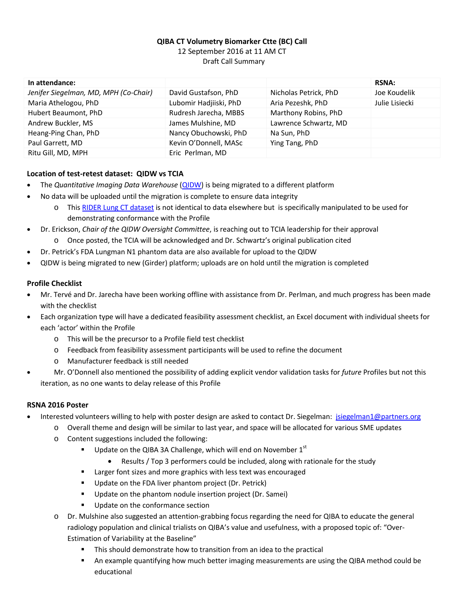# **QIBA CT Volumetry Biomarker Ctte (BC) Call** 12 September 2016 at 11 AM CT Draft Call Summary

| In attendance:                        |                        |                       | <b>RSNA:</b>   |
|---------------------------------------|------------------------|-----------------------|----------------|
| Jenifer Siegelman, MD, MPH (Co-Chair) | David Gustafson, PhD   | Nicholas Petrick, PhD | Joe Koudelik   |
| Maria Athelogou, PhD                  | Lubomir Hadjiiski, PhD | Aria Pezeshk, PhD     | Julie Lisiecki |
| Hubert Beaumont, PhD                  | Rudresh Jarecha, MBBS  | Marthony Robins, PhD  |                |
| Andrew Buckler, MS                    | James Mulshine, MD     | Lawrence Schwartz, MD |                |
| Heang-Ping Chan, PhD                  | Nancy Obuchowski, PhD  | Na Sun, PhD           |                |
| Paul Garrett, MD                      | Kevin O'Donnell, MASc  | Ying Tang, PhD        |                |
| Ritu Gill, MD, MPH                    | Eric Perlman, MD       |                       |                |

## **Location of test-retest dataset: QIDW vs TCIA**

- · The *Quantitative Imaging Data Warehouse* [\(QIDW\)](http://www.rsna.org/qidw/) is being migrated to a different platform
	- · No data will be uploaded until the migration is complete to ensure data integrity
		- o Thi[s RIDER Lung CT dataset](https://wiki.cancerimagingarchive.net/display/Public/RIDER+Lung+CT) is not identical to data elsewhere but is specifically manipulated to be used for demonstrating conformance with the Profile
- · Dr. Erickson, *Chair of the QIDW Oversight Committee*, is reaching out to TCIA leadership for their approval
	- o Once posted, the TCIA will be acknowledged and Dr. Schwartz's original publication cited
- Dr. Petrick's FDA Lungman N1 phantom data are also available for upload to the QIDW
- · QIDW is being migrated to new (Girder) platform; uploads are on hold until the migration is completed

## **Profile Checklist**

- · Mr. Tervé and Dr. Jarecha have been working offline with assistance from Dr. Perlman, and much progress has been made with the checklist
- · Each organization type will have a dedicated feasibility assessment checklist, an Excel document with individual sheets for each 'actor' within the Profile
	- o This will be the precursor to a Profile field test checklist
	- o Feedback from feasibility assessment participants will be used to refine the document
	- o Manufacturer feedback is still needed
- · Mr. O'Donnell also mentioned the possibility of adding explicit vendor validation tasks for *future* Profiles but not this iteration, as no one wants to delay release of this Profile

#### **RSNA 2016 Poster**

- Interested volunteers willing to help with poster design are asked to contact Dr. Siegelman: [jsiegelman1@partners.org](mailto:jsiegelman1@partners.org)
	- o Overall theme and design will be similar to last year, and space will be allocated for various SME updates
	- o Content suggestions included the following:
		- Update on the QIBA 3A Challenge, which will end on November  $1<sup>st</sup>$ 
			- · Results / Top 3 performers could be included, along with rationale for the study
		- **EXTER** Larger font sizes and more graphics with less text was encouraged
		- **Update on the FDA liver phantom project (Dr. Petrick)**
		- **Update on the phantom nodule insertion project (Dr. Samei)**
		- **Update on the conformance section**
	- o Dr. Mulshine also suggested an attention-grabbing focus regarding the need for QIBA to educate the general radiology population and clinical trialists on QIBA's value and usefulness, with a proposed topic of: "Over-Estimation of Variability at the Baseline"
		- This should demonstrate how to transition from an idea to the practical
		- An example quantifying how much better imaging measurements are using the QIBA method could be educational